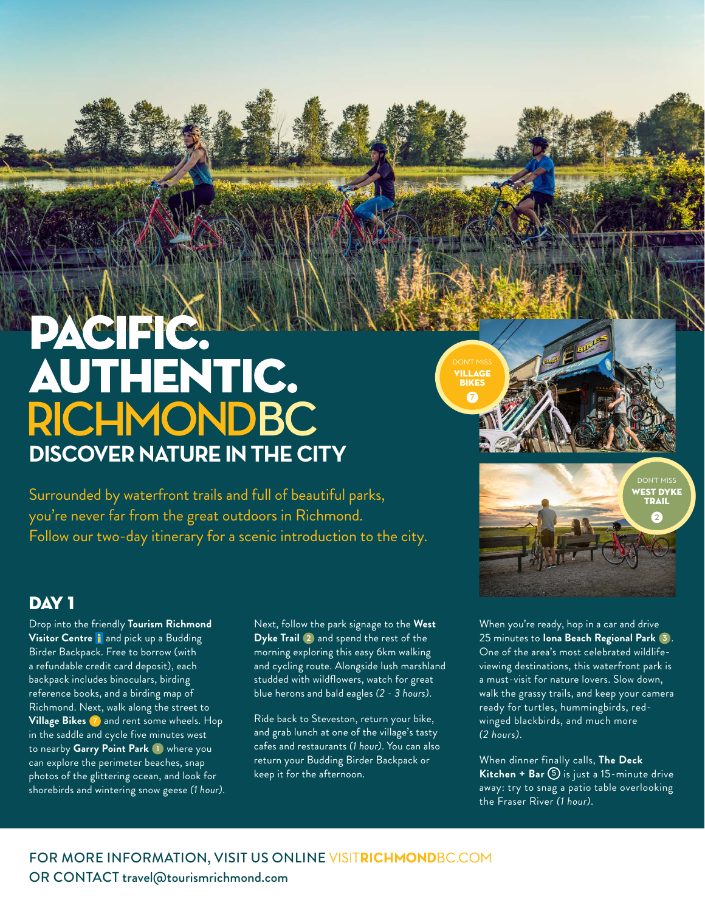## PACIFIC! **AUTHENTIC. RICHMONDBC DISCOVER NATURE IN THE CITY**

Surrounded by waterfront trails and full of beautiful parks, you're never far from the great outdoors in Richmond. Follow our two-day itinerary for a scenic introduction to the city.

## DAY<sub>1</sub>

Drop into the friendly **Tourism Richmond Visitor Centre** i and pick up a Budding Birder Backpack. Free to borrow (with a refundable credit card deposit), each backpack includes binoculars, birding reference books, and a birding map of Richmond. Next, walk along the street to **Village Bikes 7** and rent some wheels. Hop in the saddle and cycle five minutes west to nearby **Garry Point Park 1** where you can explore the perimeter beaches, snap photos of the glittering ocean, and look for shorebirds and wintering snow geese *(1 hour)*. Next, follow the park signage to the **West Dyke Trail 2** and spend the rest of the morning exploring this easy 6km walking and cycling route. Alongside lush marshland studded with wildflowers, watch for great blue herons and bald eagles *(2 - 3 hours)*.

Ride back to Steveston, return your bike, and grab lunch at one of the village's tasty cafes and restaurants *(1 hour)*. You can also return your Budding Birder Backpack or keep it for the afternoon.

When you're ready, hop in a car and drive 25 minutes to **Iona Beach Regional Park 3** . One of the area's most celebrated wildlifeviewing destinations, this waterfront park is a must-visit for nature lovers. Slow down, walk the grassy trails, and keep your camera ready for turtles, hummingbirds, redwinged blackbirds, and much more *(2 hours)*.

When dinner finally calls, **The Deck Kitchen + Bar 5** is just a 15-minute drive away: try to snag a patio table overlooking the Fraser River *(1 hour)*.



VILLAGE BIKES **7**